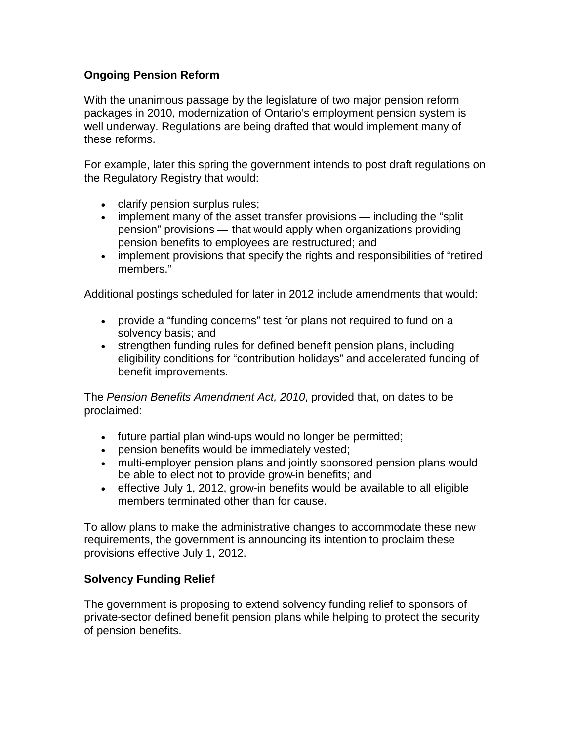## **Ongoing Pension Reform**

With the unanimous passage by the legislature of two major pension reform packages in 2010, modernization of Ontario's employment pension system is well underway. Regulations are being drafted that would implement many of these reforms.

For example, later this spring the government intends to post draft regulations on the Regulatory Registry that would:

- clarify pension surplus rules;
- implement many of the asset transfer provisions including the "split" pension" provisions — that would apply when organizations providing pension benefits to employees are restructured; and
- implement provisions that specify the rights and responsibilities of "retired" members."

Additional postings scheduled for later in 2012 include amendments that would:

- provide a "funding concerns" test for plans not required to fund on a solvency basis; and
- strengthen funding rules for defined benefit pension plans, including eligibility conditions for "contribution holidays" and accelerated funding of benefit improvements.

The *Pension Benefits Amendment Act, 2010*, provided that, on dates to be proclaimed:

- future partial plan wind-ups would no longer be permitted;
- pension benefits would be immediately vested;
- multi-employer pension plans and jointly sponsored pension plans would be able to elect not to provide grow-in benefits; and
- effective July 1, 2012, grow-in benefits would be available to all eligible members terminated other than for cause.

To allow plans to make the administrative changes to accommodate these new requirements, the government is announcing its intention to proclaim these provisions effective July 1, 2012.

## **Solvency Funding Relief**

The government is proposing to extend solvency funding relief to sponsors of private-sector defined benefit pension plans while helping to protect the security of pension benefits.